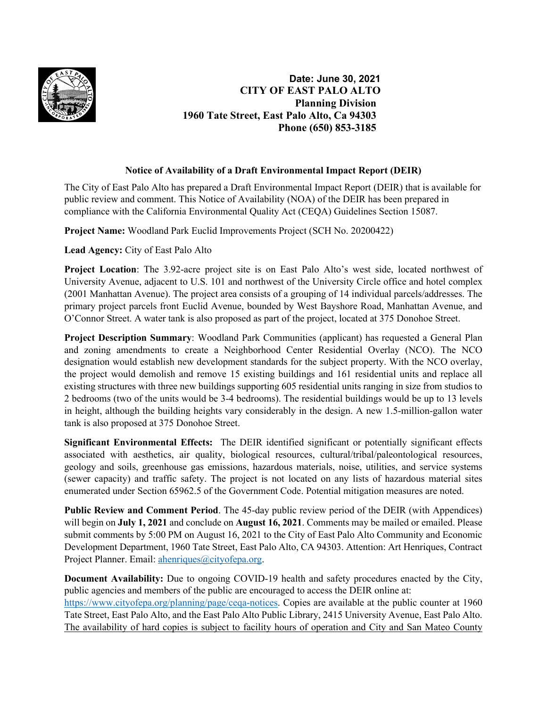

**Date: June 30, 2021 CITY OF EAST PALO ALTO Planning Division 1960 Tate Street, East Palo Alto, Ca 94303 Phone (650) 853-3185** 

## **Notice of Availability of a Draft Environmental Impact Report (DEIR)**

The City of East Palo Alto has prepared a Draft Environmental Impact Report (DEIR) that is available for public review and comment. This Notice of Availability (NOA) of the DEIR has been prepared in compliance with the California Environmental Quality Act (CEQA) Guidelines Section 15087.

**Project Name:** Woodland Park Euclid Improvements Project (SCH No. 20200422)

**Lead Agency:** City of East Palo Alto

**Project Location**: The 3.92-acre project site is on East Palo Alto's west side, located northwest of University Avenue, adjacent to U.S. 101 and northwest of the University Circle office and hotel complex (2001 Manhattan Avenue). The project area consists of a grouping of 14 individual parcels/addresses. The primary project parcels front Euclid Avenue, bounded by West Bayshore Road, Manhattan Avenue, and O'Connor Street. A water tank is also proposed as part of the project, located at 375 Donohoe Street.

**Project Description Summary**: Woodland Park Communities (applicant) has requested a General Plan and zoning amendments to create a Neighborhood Center Residential Overlay (NCO). The NCO designation would establish new development standards for the subject property. With the NCO overlay, the project would demolish and remove 15 existing buildings and 161 residential units and replace all existing structures with three new buildings supporting 605 residential units ranging in size from studios to 2 bedrooms (two of the units would be 3-4 bedrooms). The residential buildings would be up to 13 levels in height, although the building heights vary considerably in the design. A new 1.5-million-gallon water tank is also proposed at 375 Donohoe Street.

**Significant Environmental Effects:** The DEIR identified significant or potentially significant effects associated with aesthetics, air quality, biological resources, cultural/tribal/paleontological resources, geology and soils, greenhouse gas emissions, hazardous materials, noise, utilities, and service systems (sewer capacity) and traffic safety. The project is not located on any lists of hazardous material sites enumerated under Section 65962.5 of the Government Code. Potential mitigation measures are noted.

**Public Review and Comment Period**. The 45-day public review period of the DEIR (with Appendices) will begin on **July 1, 2021** and conclude on **August 16, 2021**. Comments may be mailed or emailed. Please submit comments by 5:00 PM on August 16, 2021 to the City of East Palo Alto Community and Economic Development Department, 1960 Tate Street, East Palo Alto, CA 94303. Attention: Art Henriques, Contract Project Planner. Email: [ahenriques@cityofepa.org.](mailto:ahenriques@cityofepa.org)

**Document Availability:** Due to ongoing COVID-19 health and safety procedures enacted by the City, public agencies and members of the public are encouraged to access the DEIR online at: [https://www.cityofepa.org/planning/page/ceqa-notices.](https://www.cityofepa.org/planning/page/ceqa-notices) Copies are available at the public counter at 1960 Tate Street, East Palo Alto, and the East Palo Alto Public Library, 2415 University Avenue, East Palo Alto. The availability of hard copies is subject to facility hours of operation and City and San Mateo County